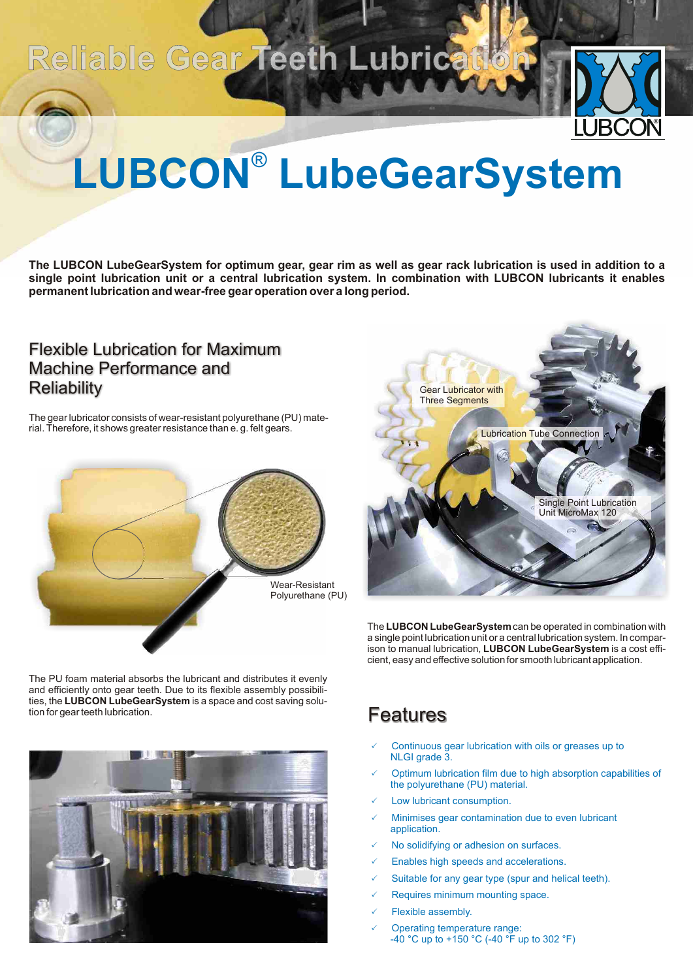## Reliable Gear Teeth Lubrication



# LUBCON<sup>®</sup> LubeGearSystem

**The LUBCON LubeGearSystem for optimum gear, gear rim as well as gear rack lubrication is used in addition to a single point lubrication unit or a central lubrication system. In combination with LUBCON lubricants it enables permanent lubrication and wear-free gear operation over a long period.**

### Machine Performance and **Reliability** Flexible Lubrication for Maximum

The gear lubricator consists of wear-resistant polyurethane (PU) material. Therefore, it shows greater resistance than e. g. felt gears.





The **LUBCON LubeGearSystem** can be operated in combination with a single point lubrication unit or a central lubrication system. In comparison to manual lubrication, **LUBCON LubeGearSystem** is a cost efficient, easy and effective solution for smooth lubricant application.

The PU foam material absorbs the lubricant and distributes it evenly and efficiently onto gear teeth. Due to its flexible assembly possibilities, the **LUBCON LubeGearSystem** is a space and cost saving solution for gear teeth lubrication.



### **Features**

- Continuous gear lubrication with oils or greases up to NLGI grade 3.
- $\checkmark$  Optimum lubrication film due to high absorption capabilities of the polyurethane (PU) material.
- $\checkmark$  Low lubricant consumption.
- $\checkmark$  Minimises gear contamination due to even lubricant application.
- $\checkmark$  No solidifying or adhesion on surfaces.
- $\checkmark$  Enables high speeds and accelerations.
- $\checkmark$  Suitable for any gear type (spur and helical teeth).
- $\checkmark$  Requires minimum mounting space.
- $\checkmark$  Flexible assembly.
- $\checkmark$  Operating temperature range: -40 °C up to +150 °C (-40 °F up to 302 °F)